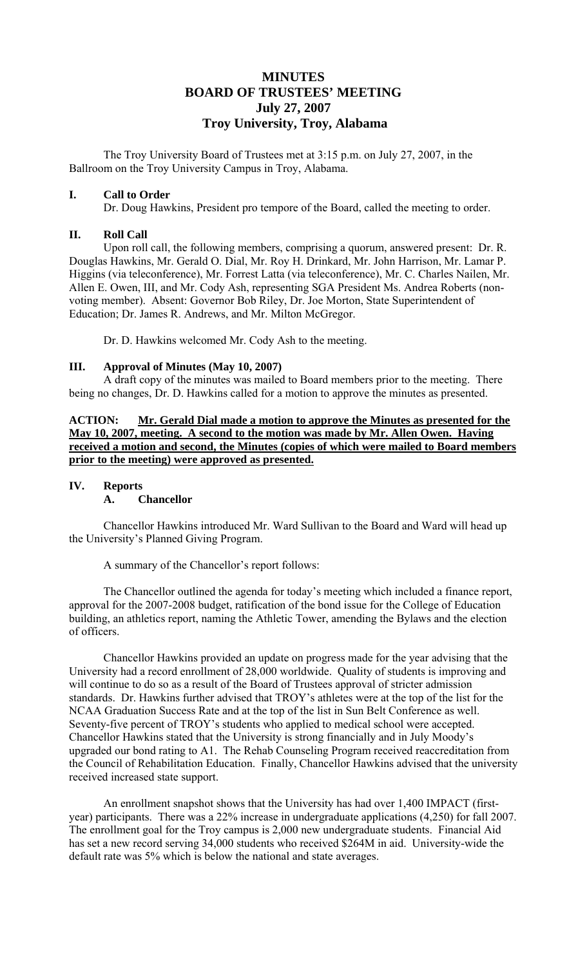# **MINUTES BOARD OF TRUSTEES' MEETING July 27, 2007 Troy University, Troy, Alabama**

The Troy University Board of Trustees met at 3:15 p.m. on July 27, 2007, in the Ballroom on the Troy University Campus in Troy, Alabama.

# **I. Call to Order**

Dr. Doug Hawkins, President pro tempore of the Board, called the meeting to order.

# **II. Roll Call**

Upon roll call, the following members, comprising a quorum, answered present: Dr. R. Douglas Hawkins, Mr. Gerald O. Dial, Mr. Roy H. Drinkard, Mr. John Harrison, Mr. Lamar P. Higgins (via teleconference), Mr. Forrest Latta (via teleconference), Mr. C. Charles Nailen, Mr. Allen E. Owen, III, and Mr. Cody Ash, representing SGA President Ms. Andrea Roberts (nonvoting member). Absent: Governor Bob Riley, Dr. Joe Morton, State Superintendent of Education; Dr. James R. Andrews, and Mr. Milton McGregor.

Dr. D. Hawkins welcomed Mr. Cody Ash to the meeting.

# **III. Approval of Minutes (May 10, 2007)**

A draft copy of the minutes was mailed to Board members prior to the meeting. There being no changes, Dr. D. Hawkins called for a motion to approve the minutes as presented.

**ACTION: Mr. Gerald Dial made a motion to approve the Minutes as presented for the May 10, 2007, meeting. A second to the motion was made by Mr. Allen Owen. Having received a motion and second, the Minutes (copies of which were mailed to Board members prior to the meeting) were approved as presented.**

# **IV. Reports**

### **A. Chancellor**

Chancellor Hawkins introduced Mr. Ward Sullivan to the Board and Ward will head up the University's Planned Giving Program.

A summary of the Chancellor's report follows:

 The Chancellor outlined the agenda for today's meeting which included a finance report, approval for the 2007-2008 budget, ratification of the bond issue for the College of Education building, an athletics report, naming the Athletic Tower, amending the Bylaws and the election of officers.

 Chancellor Hawkins provided an update on progress made for the year advising that the University had a record enrollment of 28,000 worldwide. Quality of students is improving and will continue to do so as a result of the Board of Trustees approval of stricter admission standards. Dr. Hawkins further advised that TROY's athletes were at the top of the list for the NCAA Graduation Success Rate and at the top of the list in Sun Belt Conference as well. Seventy-five percent of TROY's students who applied to medical school were accepted. Chancellor Hawkins stated that the University is strong financially and in July Moody's upgraded our bond rating to A1. The Rehab Counseling Program received reaccreditation from the Council of Rehabilitation Education. Finally, Chancellor Hawkins advised that the university received increased state support.

 An enrollment snapshot shows that the University has had over 1,400 IMPACT (firstyear) participants. There was a 22% increase in undergraduate applications (4,250) for fall 2007. The enrollment goal for the Troy campus is 2,000 new undergraduate students. Financial Aid has set a new record serving 34,000 students who received \$264M in aid. University-wide the default rate was 5% which is below the national and state averages.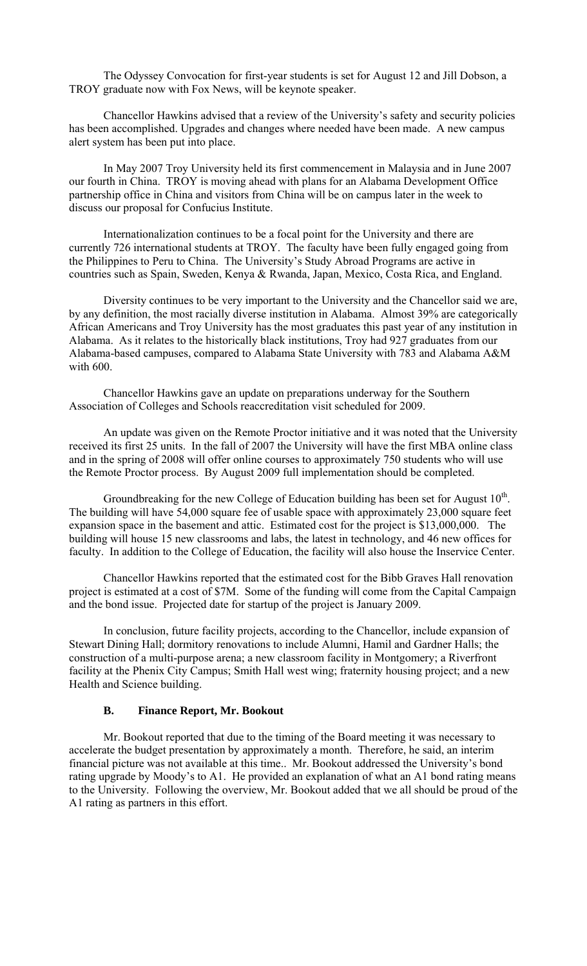The Odyssey Convocation for first-year students is set for August 12 and Jill Dobson, a TROY graduate now with Fox News, will be keynote speaker.

 Chancellor Hawkins advised that a review of the University's safety and security policies has been accomplished. Upgrades and changes where needed have been made. A new campus alert system has been put into place.

 In May 2007 Troy University held its first commencement in Malaysia and in June 2007 our fourth in China. TROY is moving ahead with plans for an Alabama Development Office partnership office in China and visitors from China will be on campus later in the week to discuss our proposal for Confucius Institute.

 Internationalization continues to be a focal point for the University and there are currently 726 international students at TROY. The faculty have been fully engaged going from the Philippines to Peru to China. The University's Study Abroad Programs are active in countries such as Spain, Sweden, Kenya & Rwanda, Japan, Mexico, Costa Rica, and England.

 Diversity continues to be very important to the University and the Chancellor said we are, by any definition, the most racially diverse institution in Alabama. Almost 39% are categorically African Americans and Troy University has the most graduates this past year of any institution in Alabama. As it relates to the historically black institutions, Troy had 927 graduates from our Alabama-based campuses, compared to Alabama State University with 783 and Alabama A&M with 600.

 Chancellor Hawkins gave an update on preparations underway for the Southern Association of Colleges and Schools reaccreditation visit scheduled for 2009.

 An update was given on the Remote Proctor initiative and it was noted that the University received its first 25 units. In the fall of 2007 the University will have the first MBA online class and in the spring of 2008 will offer online courses to approximately 750 students who will use the Remote Proctor process. By August 2009 full implementation should be completed.

Groundbreaking for the new College of Education building has been set for August  $10<sup>th</sup>$ . The building will have 54,000 square fee of usable space with approximately 23,000 square feet expansion space in the basement and attic. Estimated cost for the project is \$13,000,000. The building will house 15 new classrooms and labs, the latest in technology, and 46 new offices for faculty. In addition to the College of Education, the facility will also house the Inservice Center.

Chancellor Hawkins reported that the estimated cost for the Bibb Graves Hall renovation project is estimated at a cost of \$7M. Some of the funding will come from the Capital Campaign and the bond issue. Projected date for startup of the project is January 2009.

In conclusion, future facility projects, according to the Chancellor, include expansion of Stewart Dining Hall; dormitory renovations to include Alumni, Hamil and Gardner Halls; the construction of a multi-purpose arena; a new classroom facility in Montgomery; a Riverfront facility at the Phenix City Campus; Smith Hall west wing; fraternity housing project; and a new Health and Science building.

#### **B. Finance Report, Mr. Bookout**

Mr. Bookout reported that due to the timing of the Board meeting it was necessary to accelerate the budget presentation by approximately a month. Therefore, he said, an interim financial picture was not available at this time.. Mr. Bookout addressed the University's bond rating upgrade by Moody's to A1. He provided an explanation of what an A1 bond rating means to the University. Following the overview, Mr. Bookout added that we all should be proud of the A1 rating as partners in this effort.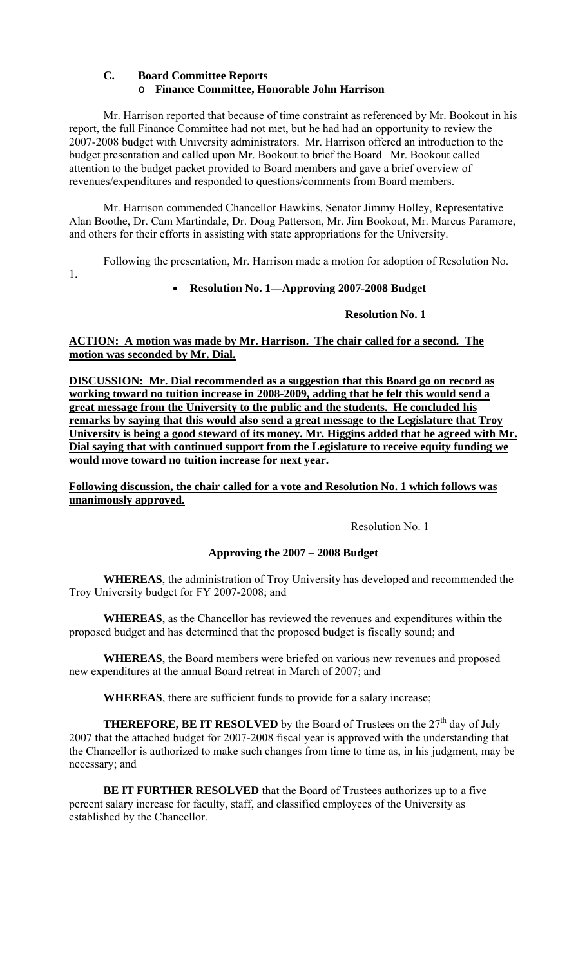# **C. Board Committee Reports**  o **Finance Committee, Honorable John Harrison**

Mr. Harrison reported that because of time constraint as referenced by Mr. Bookout in his report, the full Finance Committee had not met, but he had had an opportunity to review the 2007-2008 budget with University administrators. Mr. Harrison offered an introduction to the budget presentation and called upon Mr. Bookout to brief the Board Mr. Bookout called attention to the budget packet provided to Board members and gave a brief overview of revenues/expenditures and responded to questions/comments from Board members.

 Mr. Harrison commended Chancellor Hawkins, Senator Jimmy Holley, Representative Alan Boothe, Dr. Cam Martindale, Dr. Doug Patterson, Mr. Jim Bookout, Mr. Marcus Paramore, and others for their efforts in assisting with state appropriations for the University.

Following the presentation, Mr. Harrison made a motion for adoption of Resolution No.

1.

# • **Resolution No. 1—Approving 2007-2008 Budget**

### **Resolution No. 1**

**ACTION: A motion was made by Mr. Harrison. The chair called for a second. The motion was seconded by Mr. Dial.** 

**DISCUSSION: Mr. Dial recommended as a suggestion that this Board go on record as working toward no tuition increase in 2008-2009, adding that he felt this would send a great message from the University to the public and the students. He concluded his remarks by saying that this would also send a great message to the Legislature that Troy University is being a good steward of its money. Mr. Higgins added that he agreed with Mr. Dial saying that with continued support from the Legislature to receive equity funding we would move toward no tuition increase for next year.**

**Following discussion, the chair called for a vote and Resolution No. 1 which follows was unanimously approved.**

Resolution No. 1

### **Approving the 2007 – 2008 Budget**

**WHEREAS**, the administration of Troy University has developed and recommended the Troy University budget for FY 2007-2008; and

 **WHEREAS**, as the Chancellor has reviewed the revenues and expenditures within the proposed budget and has determined that the proposed budget is fiscally sound; and

**WHEREAS**, the Board members were briefed on various new revenues and proposed new expenditures at the annual Board retreat in March of 2007; and

**WHEREAS**, there are sufficient funds to provide for a salary increase;

**THEREFORE, BE IT RESOLVED** by the Board of Trustees on the  $27<sup>th</sup>$  day of July 2007 that the attached budget for 2007-2008 fiscal year is approved with the understanding that the Chancellor is authorized to make such changes from time to time as, in his judgment, may be necessary; and

**BE IT FURTHER RESOLVED** that the Board of Trustees authorizes up to a five percent salary increase for faculty, staff, and classified employees of the University as established by the Chancellor.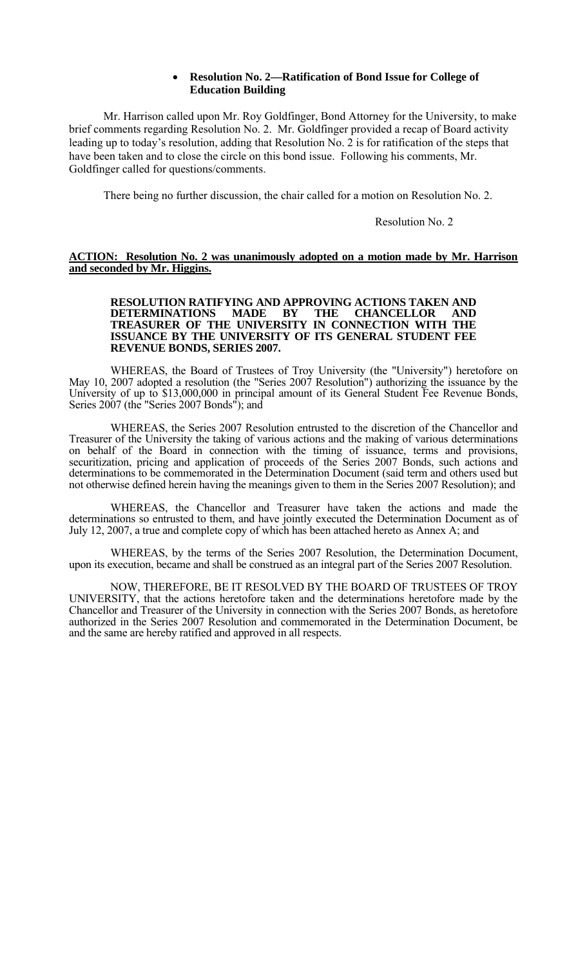### • **Resolution No. 2—Ratification of Bond Issue for College of Education Building**

Mr. Harrison called upon Mr. Roy Goldfinger, Bond Attorney for the University, to make brief comments regarding Resolution No. 2. Mr. Goldfinger provided a recap of Board activity leading up to today's resolution, adding that Resolution No. 2 is for ratification of the steps that have been taken and to close the circle on this bond issue. Following his comments, Mr. Goldfinger called for questions/comments.

There being no further discussion, the chair called for a motion on Resolution No. 2.

Resolution No. 2

#### **ACTION: Resolution No. 2 was unanimously adopted on a motion made by Mr. Harrison and seconded by Mr. Higgins.**

#### **RESOLUTION RATIFYING AND APPROVING ACTIONS TAKEN AND DETERMINATIONS MADE BY THE CHANCELLOR AND TREASURER OF THE UNIVERSITY IN CONNECTION WITH THE ISSUANCE BY THE UNIVERSITY OF ITS GENERAL STUDENT FEE REVENUE BONDS, SERIES 2007.**

 WHEREAS, the Board of Trustees of Troy University (the "University") heretofore on May 10, 2007 adopted a resolution (the "Series 2007 Resolution") authorizing the issuance by the University of up to \$13,000,000 in principal amount of its General Student Fee Revenue Bonds, Series 2007 (the "Series 2007 Bonds"); and

 WHEREAS, the Series 2007 Resolution entrusted to the discretion of the Chancellor and Treasurer of the University the taking of various actions and the making of various determinations on behalf of the Board in connection with the timing of issuance, terms and provisions, securitization, pricing and application of proceeds of the Series 2007 Bonds, such actions and determinations to be commemorated in the Determination Document (said term and others used but not otherwise defined herein having the meanings given to them in the Series 2007 Resolution); and

 WHEREAS, the Chancellor and Treasurer have taken the actions and made the determinations so entrusted to them, and have jointly executed the Determination Document as of July 12, 2007, a true and complete copy of which has been attached hereto as Annex A; and

 WHEREAS, by the terms of the Series 2007 Resolution, the Determination Document, upon its execution, became and shall be construed as an integral part of the Series 2007 Resolution.

 NOW, THEREFORE, BE IT RESOLVED BY THE BOARD OF TRUSTEES OF TROY UNIVERSITY, that the actions heretofore taken and the determinations heretofore made by the Chancellor and Treasurer of the University in connection with the Series 2007 Bonds, as heretofore authorized in the Series 2007 Resolution and commemorated in the Determination Document, be and the same are hereby ratified and approved in all respects.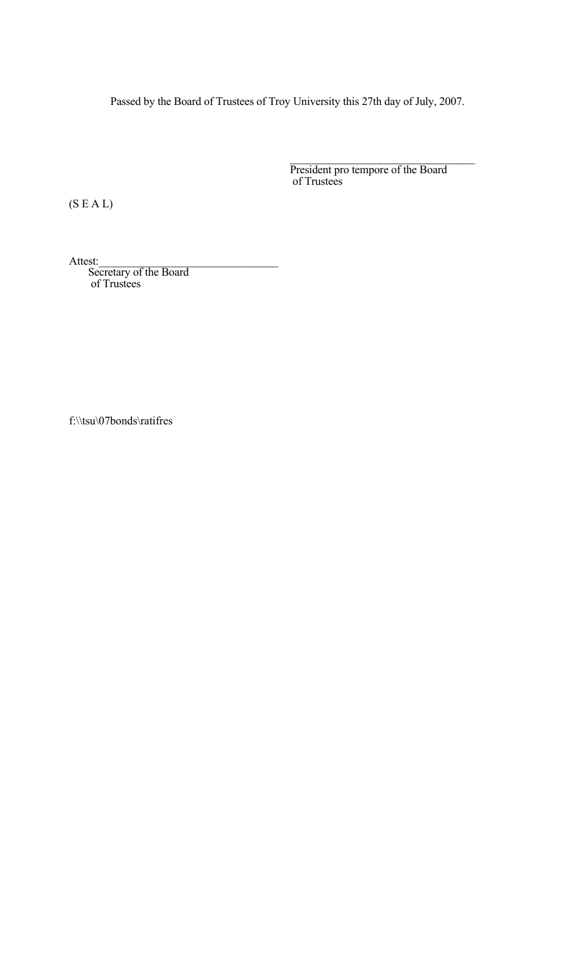Passed by the Board of Trustees of Troy University this 27th day of July, 2007.

President pro tempore of the Board<br>of Trustees

(S E A L)

Attest:<br>Secretary of the Board of Trustees

f:\\tsu\07bonds\ratifres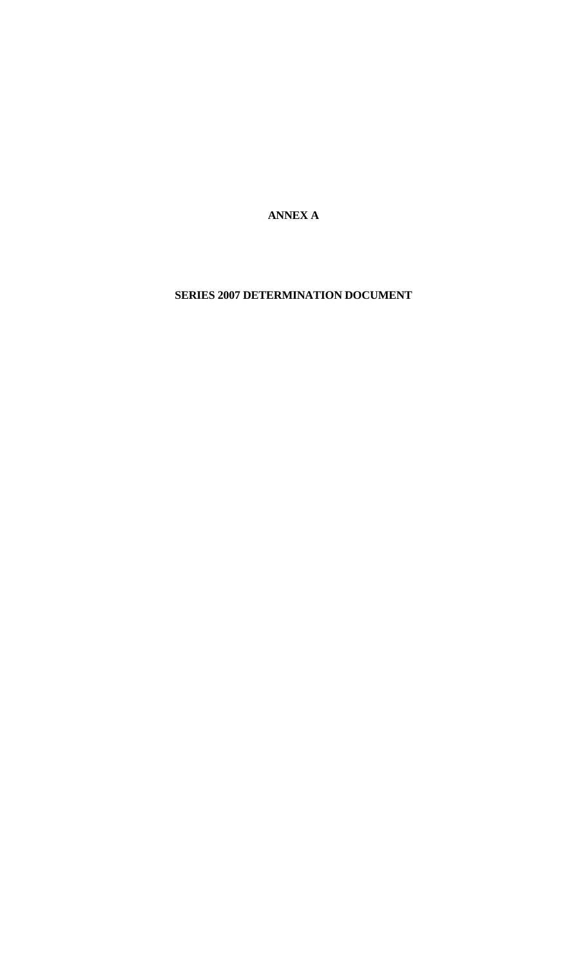**ANNEX A** 

**SERIES 2007 DETERMINATION DOCUMENT**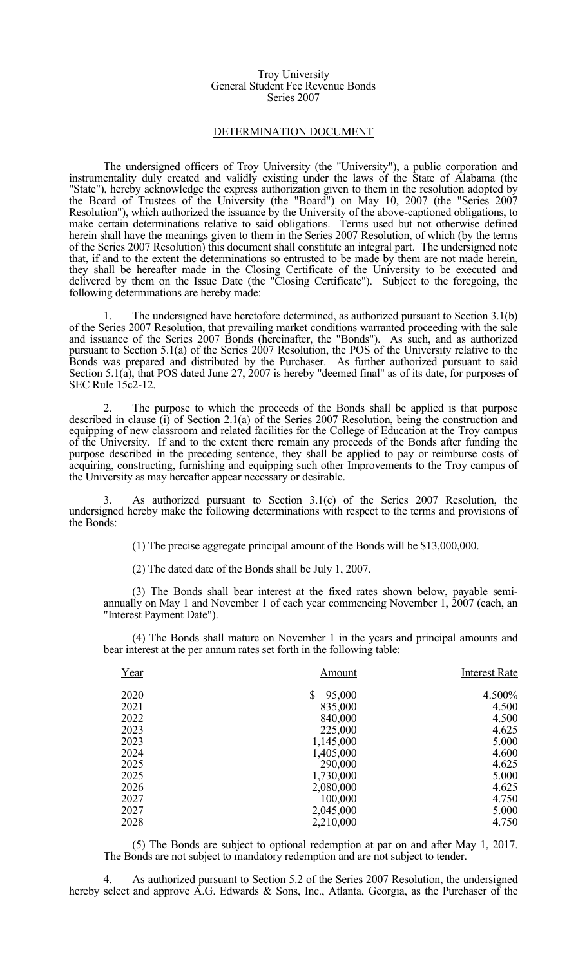#### Troy University General Student Fee Revenue Bonds Series 2007

#### DETERMINATION DOCUMENT

 The undersigned officers of Troy University (the "University"), a public corporation and instrumentality duly created and validly existing under the laws of the State of Alabama (the "State"), hereby acknowledge the express authorization given to them in the resolution adopted by the Board of Trustees of the University (the "Board") on May 10, 2007 (the "Series 2007 Resolution"), which authorized the issuance by the University of the above-captioned obligations, to make certain determinations relative to said obligations. Terms used but not otherwise defined herein shall have the meanings given to them in the Series 2007 Resolution, of which (by the terms of the Series 2007 Resolution) this document shall constitute an integral part. The undersigned note that, if and to the extent the determinations so entrusted to be made by them are not made herein, they shall be hereafter made in the Closing Certificate of the University to be executed and delivered by them on the Issue Date (the "Closing Certificate"). Subject to the foregoing, the following determinations are hereby made:

 1. The undersigned have heretofore determined, as authorized pursuant to Section 3.1(b) of the Series 2007 Resolution, that prevailing market conditions warranted proceeding with the sale and issuance of the Series 2007 Bonds (hereinafter, the "Bonds"). As such, and as authorized pursuant to Section 5.1(a) of the Series 2007 Resolution, the POS of the University relative to the Bonds was prepared and distributed by the Purchaser. As further authorized pursuant to said Section 5.1(a), that POS dated June 27, 2007 is hereby "deemed final" as of its date, for purposes of SEC Rule 15c2-12.

The purpose to which the proceeds of the Bonds shall be applied is that purpose described in clause (i) of Section 2.1(a) of the Series 2007 Resolution, being the construction and equipping of new classroom and related facilities for the College of Education at the Troy campus of the University. If and to the extent there remain any proceeds of the Bonds after funding the purpose described in the preceding sentence, they shall be applied to pay or reimburse costs of acquiring, constructing, furnishing and equipping such other Improvements to the Troy campus of the University as may hereafter appear necessary or desirable.

 3. As authorized pursuant to Section 3.1(c) of the Series 2007 Resolution, the undersigned hereby make the following determinations with respect to the terms and provisions of the Bonds:

(1) The precise aggregate principal amount of the Bonds will be \$13,000,000.

(2) The dated date of the Bonds shall be July 1, 2007.

 (3) The Bonds shall bear interest at the fixed rates shown below, payable semiannually on May 1 and November 1 of each year commencing November 1, 2007 (each, an "Interest Payment Date").

 (4) The Bonds shall mature on November 1 in the years and principal amounts and bear interest at the per annum rates set forth in the following table:

| Year | Amount       | <b>Interest Rate</b> |
|------|--------------|----------------------|
| 2020 | \$<br>95,000 | 4.500%               |
| 2021 | 835,000      | 4.500                |
| 2022 | 840,000      | 4.500                |
| 2023 | 225,000      | 4.625                |
| 2023 | 1,145,000    | 5.000                |
| 2024 | 1,405,000    | 4.600                |
| 2025 | 290,000      | 4.625                |
| 2025 | 1,730,000    | 5.000                |
| 2026 | 2,080,000    | 4.625                |
| 2027 | 100,000      | 4.750                |
| 2027 | 2,045,000    | 5.000                |
| 2028 | 2,210,000    | 4.750                |

 (5) The Bonds are subject to optional redemption at par on and after May 1, 2017. The Bonds are not subject to mandatory redemption and are not subject to tender.

 4. As authorized pursuant to Section 5.2 of the Series 2007 Resolution, the undersigned hereby select and approve A.G. Edwards & Sons, Inc., Atlanta, Georgia, as the Purchaser of the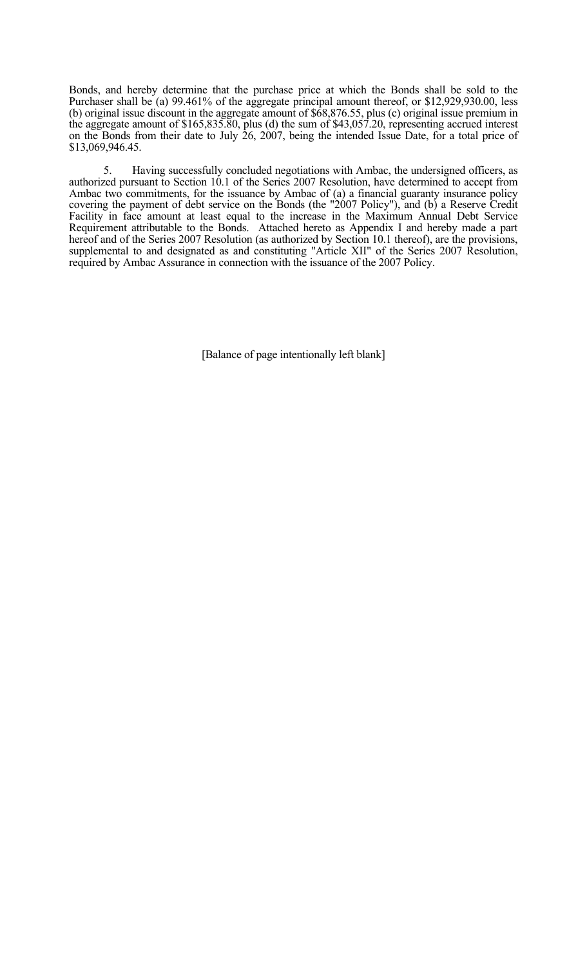Bonds, and hereby determine that the purchase price at which the Bonds shall be sold to the Purchaser shall be (a) 99.461% of the aggregate principal amount thereof, or \$12,929,930.00, less (b) original issue discount in the aggregate amount of \$68,876.55, plus (c) original issue premium in the aggregate amount of \$165,835.80, plus (d) the sum of \$43,057.20, representing accrued interest on the Bonds from their date to July 26, 2007, being the intended Issue Date, for a total price of \$13,069,946.45.

 5. Having successfully concluded negotiations with Ambac, the undersigned officers, as authorized pursuant to Section 10.1 of the Series 2007 Resolution, have determined to accept from Ambac two commitments, for the issuance by Ambac of (a) a financial guaranty insurance policy covering the payment of debt service on the Bonds (the "2007 Policy"), and (b) a Reserve Credit Facility in face amount at least equal to the increase in the Maximum Annual Debt Service Requirement attributable to the Bonds. Attached hereto as Appendix I and hereby made a part hereof and of the Series 2007 Resolution (as authorized by Section 10.1 thereof), are the provisions, supplemental to and designated as and constituting "Article XII" of the Series 2007 Resolution, required by Ambac Assurance in connection with the issuance of the 2007 Policy.

[Balance of page intentionally left blank]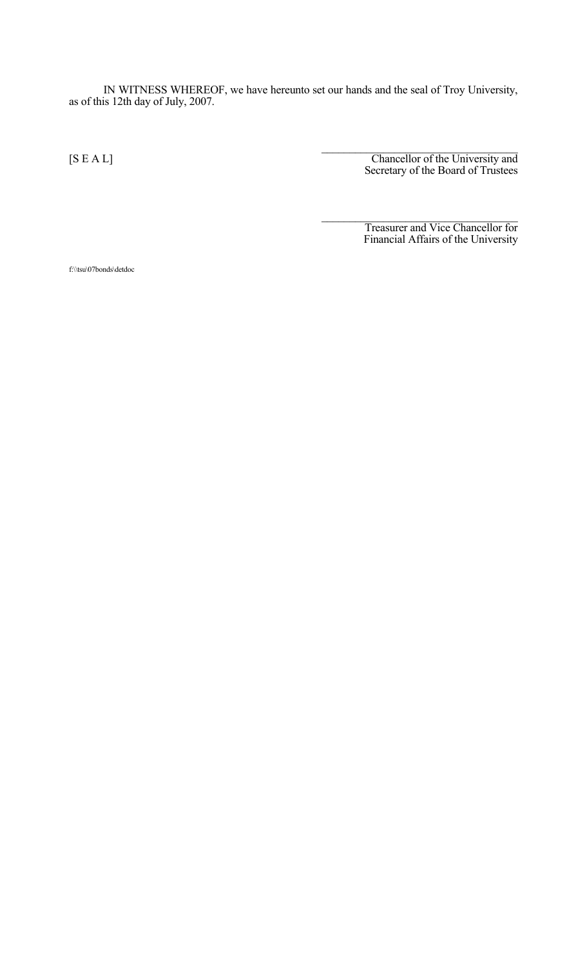IN WITNESS WHEREOF, we have hereunto set our hands and the seal of Troy University, as of this 12th day of July, 2007.

 $\mathcal{L}_\text{max}$  and  $\mathcal{L}_\text{max}$  and  $\mathcal{L}_\text{max}$  and  $\mathcal{L}_\text{max}$  and  $\mathcal{L}_\text{max}$  and  $\mathcal{L}_\text{max}$ 

 $\mathcal{L}_\text{max}$  and  $\mathcal{L}_\text{max}$  and  $\mathcal{L}_\text{max}$  and  $\mathcal{L}_\text{max}$  and  $\mathcal{L}_\text{max}$  and  $\mathcal{L}_\text{max}$ [S E A L] Chancellor of the University and Secretary of the Board of Trustees

 Treasurer and Vice Chancellor for Financial Affairs of the University

f:\\tsu\07bonds\detdoc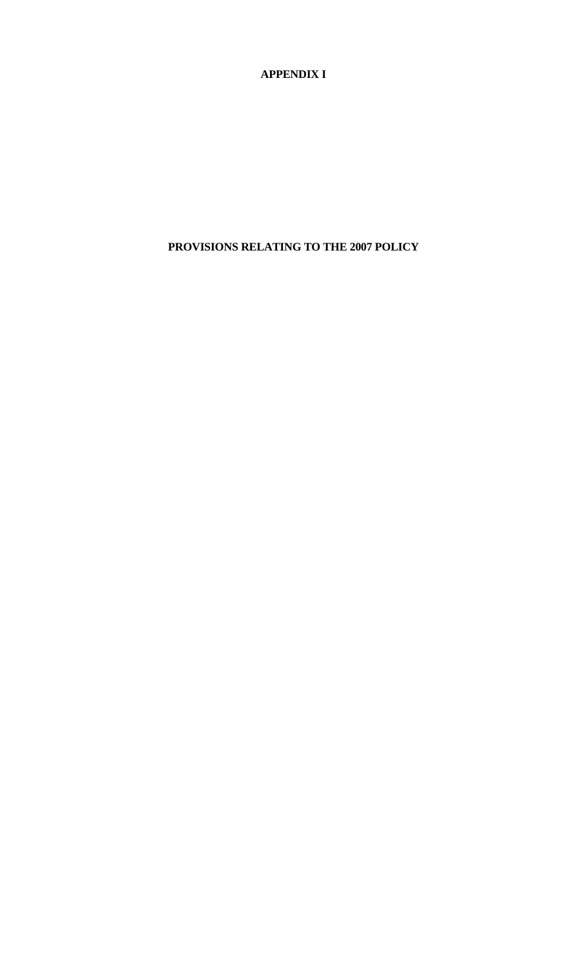**APPENDIX I**

**PROVISIONS RELATING TO THE 2007 POLICY**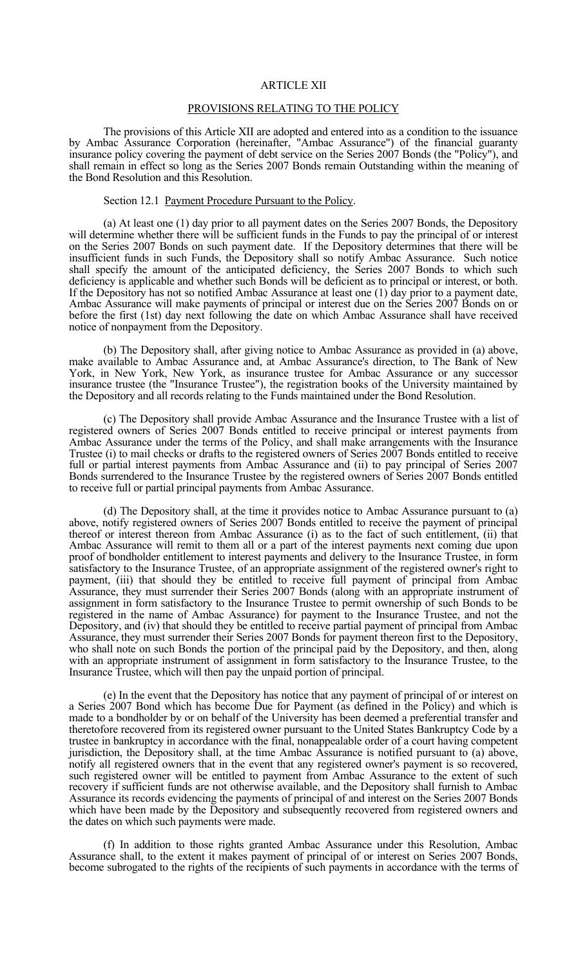#### ARTICLE XII

#### PROVISIONS RELATING TO THE POLICY

 The provisions of this Article XII are adopted and entered into as a condition to the issuance by Ambac Assurance Corporation (hereinafter, "Ambac Assurance") of the financial guaranty insurance policy covering the payment of debt service on the Series 2007 Bonds (the "Policy"), and shall remain in effect so long as the Series 2007 Bonds remain Outstanding within the meaning of the Bond Resolution and this Resolution.

#### Section 12.1 Payment Procedure Pursuant to the Policy.

 (a) At least one (1) day prior to all payment dates on the Series 2007 Bonds, the Depository will determine whether there will be sufficient funds in the Funds to pay the principal of or interest on the Series 2007 Bonds on such payment date. If the Depository determines that there will be insufficient funds in such Funds, the Depository shall so notify Ambac Assurance. Such notice shall specify the amount of the anticipated deficiency, the Series 2007 Bonds to which such deficiency is applicable and whether such Bonds will be deficient as to principal or interest, or both. If the Depository has not so notified Ambac Assurance at least one (1) day prior to a payment date, Ambac Assurance will make payments of principal or interest due on the Series 2007 Bonds on or before the first (1st) day next following the date on which Ambac Assurance shall have received notice of nonpayment from the Depository.

 (b) The Depository shall, after giving notice to Ambac Assurance as provided in (a) above, make available to Ambac Assurance and, at Ambac Assurance's direction, to The Bank of New York, in New York, New York, as insurance trustee for Ambac Assurance or any successor insurance trustee (the "Insurance Trustee"), the registration books of the University maintained by the Depository and all records relating to the Funds maintained under the Bond Resolution.

 (c) The Depository shall provide Ambac Assurance and the Insurance Trustee with a list of registered owners of Series 2007 Bonds entitled to receive principal or interest payments from Ambac Assurance under the terms of the Policy, and shall make arrangements with the Insurance Trustee (i) to mail checks or drafts to the registered owners of Series 2007 Bonds entitled to receive full or partial interest payments from Ambac Assurance and (ii) to pay principal of Series 2007 Bonds surrendered to the Insurance Trustee by the registered owners of Series 2007 Bonds entitled to receive full or partial principal payments from Ambac Assurance.

 (d) The Depository shall, at the time it provides notice to Ambac Assurance pursuant to (a) above, notify registered owners of Series 2007 Bonds entitled to receive the payment of principal thereof or interest thereon from Ambac Assurance (i) as to the fact of such entitlement, (ii) that Ambac Assurance will remit to them all or a part of the interest payments next coming due upon proof of bondholder entitlement to interest payments and delivery to the Insurance Trustee, in form satisfactory to the Insurance Trustee, of an appropriate assignment of the registered owner's right to payment, (iii) that should they be entitled to receive full payment of principal from Ambac Assurance, they must surrender their Series 2007 Bonds (along with an appropriate instrument of assignment in form satisfactory to the Insurance Trustee to permit ownership of such Bonds to be registered in the name of Ambac Assurance) for payment to the Insurance Trustee, and not the Depository, and (iv) that should they be entitled to receive partial payment of principal from Ambac Assurance, they must surrender their Series 2007 Bonds for payment thereon first to the Depository, who shall note on such Bonds the portion of the principal paid by the Depository, and then, along with an appropriate instrument of assignment in form satisfactory to the Insurance Trustee, to the Insurance Trustee, which will then pay the unpaid portion of principal.

 (e) In the event that the Depository has notice that any payment of principal of or interest on a Series 2007 Bond which has become Due for Payment (as defined in the Policy) and which is made to a bondholder by or on behalf of the University has been deemed a preferential transfer and theretofore recovered from its registered owner pursuant to the United States Bankruptcy Code by a trustee in bankruptcy in accordance with the final, nonappealable order of a court having competent jurisdiction, the Depository shall, at the time Ambac Assurance is notified pursuant to (a) above, notify all registered owners that in the event that any registered owner's payment is so recovered, such registered owner will be entitled to payment from Ambac Assurance to the extent of such recovery if sufficient funds are not otherwise available, and the Depository shall furnish to Ambac Assurance its records evidencing the payments of principal of and interest on the Series 2007 Bonds which have been made by the Depository and subsequently recovered from registered owners and the dates on which such payments were made.

 (f) In addition to those rights granted Ambac Assurance under this Resolution, Ambac Assurance shall, to the extent it makes payment of principal of or interest on Series 2007 Bonds, become subrogated to the rights of the recipients of such payments in accordance with the terms of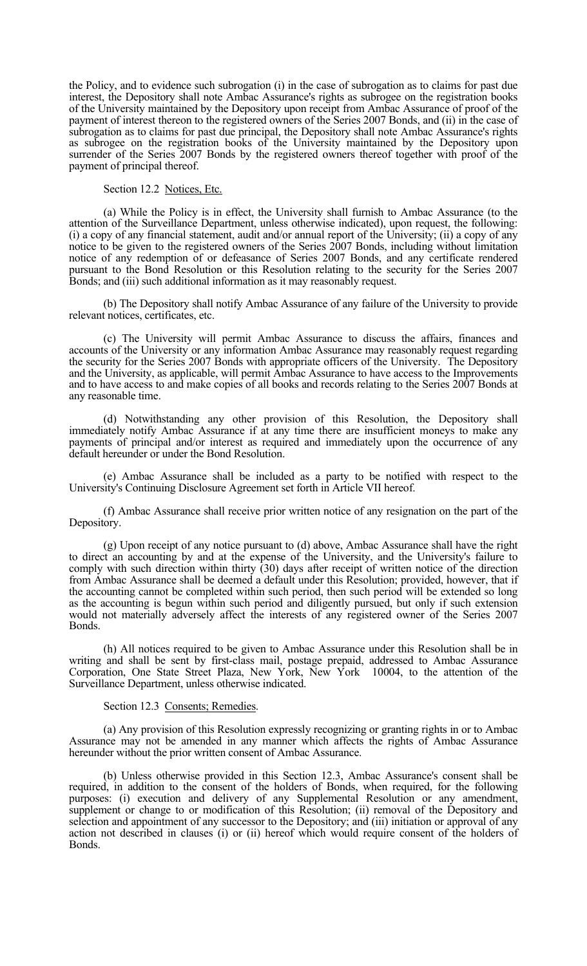the Policy, and to evidence such subrogation (i) in the case of subrogation as to claims for past due interest, the Depository shall note Ambac Assurance's rights as subrogee on the registration books of the University maintained by the Depository upon receipt from Ambac Assurance of proof of the payment of interest thereon to the registered owners of the Series 2007 Bonds, and (ii) in the case of subrogation as to claims for past due principal, the Depository shall note Ambac Assurance's rights as subrogee on the registration books of the University maintained by the Depository upon surrender of the Series 2007 Bonds by the registered owners thereof together with proof of the payment of principal thereof.

Section 12.2 Notices, Etc.

 (a) While the Policy is in effect, the University shall furnish to Ambac Assurance (to the attention of the Surveillance Department, unless otherwise indicated), upon request, the following: (i) a copy of any financial statement, audit and/or annual report of the University; (ii) a copy of any notice to be given to the registered owners of the Series 2007 Bonds, including without limitation notice of any redemption of or defeasance of Series 2007 Bonds, and any certificate rendered pursuant to the Bond Resolution or this Resolution relating to the security for the Series 2007 Bonds; and (iii) such additional information as it may reasonably request.

 (b) The Depository shall notify Ambac Assurance of any failure of the University to provide relevant notices, certificates, etc.

 (c) The University will permit Ambac Assurance to discuss the affairs, finances and accounts of the University or any information Ambac Assurance may reasonably request regarding the security for the Series 2007 Bonds with appropriate officers of the University. The Depository and the University, as applicable, will permit Ambac Assurance to have access to the Improvements and to have access to and make copies of all books and records relating to the Series 2007 Bonds at any reasonable time.

 (d) Notwithstanding any other provision of this Resolution, the Depository shall immediately notify Ambac Assurance if at any time there are insufficient moneys to make any payments of principal and/or interest as required and immediately upon the occurrence of any default hereunder or under the Bond Resolution.

 (e) Ambac Assurance shall be included as a party to be notified with respect to the University's Continuing Disclosure Agreement set forth in Article VII hereof.

 (f) Ambac Assurance shall receive prior written notice of any resignation on the part of the Depository.

 (g) Upon receipt of any notice pursuant to (d) above, Ambac Assurance shall have the right to direct an accounting by and at the expense of the University, and the University's failure to comply with such direction within thirty (30) days after receipt of written notice of the direction from Ambac Assurance shall be deemed a default under this Resolution; provided, however, that if the accounting cannot be completed within such period, then such period will be extended so long as the accounting is begun within such period and diligently pursued, but only if such extension would not materially adversely affect the interests of any registered owner of the Series 2007 Bonds.

 (h) All notices required to be given to Ambac Assurance under this Resolution shall be in writing and shall be sent by first-class mail, postage prepaid, addressed to Ambac Assurance Corporation, One State Street Plaza, New York, New York 10004, to the attention of the Surveillance Department, unless otherwise indicated.

#### Section 12.3 Consents; Remedies.

 (a) Any provision of this Resolution expressly recognizing or granting rights in or to Ambac Assurance may not be amended in any manner which affects the rights of Ambac Assurance hereunder without the prior written consent of Ambac Assurance.

 (b) Unless otherwise provided in this Section 12.3, Ambac Assurance's consent shall be required, in addition to the consent of the holders of Bonds, when required, for the following purposes: (i) execution and delivery of any Supplemental Resolution or any amendment, supplement or change to or modification of this Resolution; (ii) removal of the Depository and selection and appointment of any successor to the Depository; and (iii) initiation or approval of any action not described in clauses (i) or (ii) hereof which would require consent of the holders of Bonds.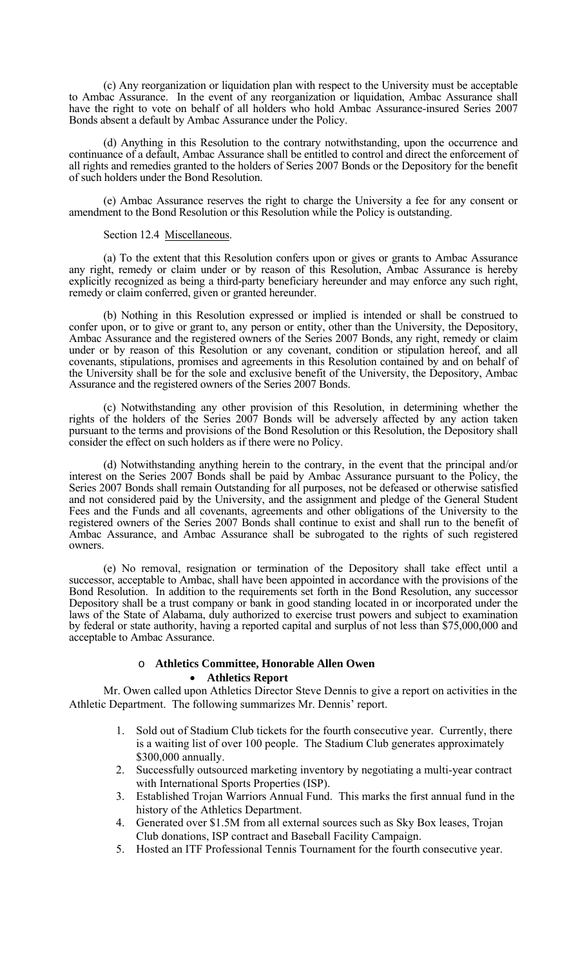(c) Any reorganization or liquidation plan with respect to the University must be acceptable to Ambac Assurance. In the event of any reorganization or liquidation, Ambac Assurance shall have the right to vote on behalf of all holders who hold Ambac Assurance-insured Series 2007 Bonds absent a default by Ambac Assurance under the Policy.

 (d) Anything in this Resolution to the contrary notwithstanding, upon the occurrence and continuance of a default, Ambac Assurance shall be entitled to control and direct the enforcement of all rights and remedies granted to the holders of Series 2007 Bonds or the Depository for the benefit of such holders under the Bond Resolution.

 (e) Ambac Assurance reserves the right to charge the University a fee for any consent or amendment to the Bond Resolution or this Resolution while the Policy is outstanding.

#### Section 12.4 Miscellaneous.

 (a) To the extent that this Resolution confers upon or gives or grants to Ambac Assurance any right, remedy or claim under or by reason of this Resolution, Ambac Assurance is hereby explicitly recognized as being a third-party beneficiary hereunder and may enforce any such right, remedy or claim conferred, given or granted hereunder.

 (b) Nothing in this Resolution expressed or implied is intended or shall be construed to confer upon, or to give or grant to, any person or entity, other than the University, the Depository, Ambac Assurance and the registered owners of the Series 2007 Bonds, any right, remedy or claim under or by reason of this Resolution or any covenant, condition or stipulation hereof, and all covenants, stipulations, promises and agreements in this Resolution contained by and on behalf of the University shall be for the sole and exclusive benefit of the University, the Depository, Ambac Assurance and the registered owners of the Series 2007 Bonds.

 (c) Notwithstanding any other provision of this Resolution, in determining whether the rights of the holders of the Series 2007 Bonds will be adversely affected by any action taken pursuant to the terms and provisions of the Bond Resolution or this Resolution, the Depository shall consider the effect on such holders as if there were no Policy.

 (d) Notwithstanding anything herein to the contrary, in the event that the principal and/or interest on the Series 2007 Bonds shall be paid by Ambac Assurance pursuant to the Policy, the Series 2007 Bonds shall remain Outstanding for all purposes, not be defeased or otherwise satisfied and not considered paid by the University, and the assignment and pledge of the General Student Fees and the Funds and all covenants, agreements and other obligations of the University to the registered owners of the Series 2007 Bonds shall continue to exist and shall run to the benefit of Ambac Assurance, and Ambac Assurance shall be subrogated to the rights of such registered owners.

 (e) No removal, resignation or termination of the Depository shall take effect until a successor, acceptable to Ambac, shall have been appointed in accordance with the provisions of the Bond Resolution. In addition to the requirements set forth in the Bond Resolution, any successor Depository shall be a trust company or bank in good standing located in or incorporated under the laws of the State of Alabama, duly authorized to exercise trust powers and subject to examination by federal or state authority, having a reported capital and surplus of not less than \$75,000,000 and acceptable to Ambac Assurance.

#### o **Athletics Committee, Honorable Allen Owen**  • **Athletics Report**

Mr. Owen called upon Athletics Director Steve Dennis to give a report on activities in the Athletic Department. The following summarizes Mr. Dennis' report.

- 1. Sold out of Stadium Club tickets for the fourth consecutive year. Currently, there is a waiting list of over 100 people. The Stadium Club generates approximately \$300,000 annually.
- 2. Successfully outsourced marketing inventory by negotiating a multi-year contract with International Sports Properties (ISP).
- 3. Established Trojan Warriors Annual Fund. This marks the first annual fund in the history of the Athletics Department.
- 4. Generated over \$1.5M from all external sources such as Sky Box leases, Trojan Club donations, ISP contract and Baseball Facility Campaign.
- 5. Hosted an ITF Professional Tennis Tournament for the fourth consecutive year.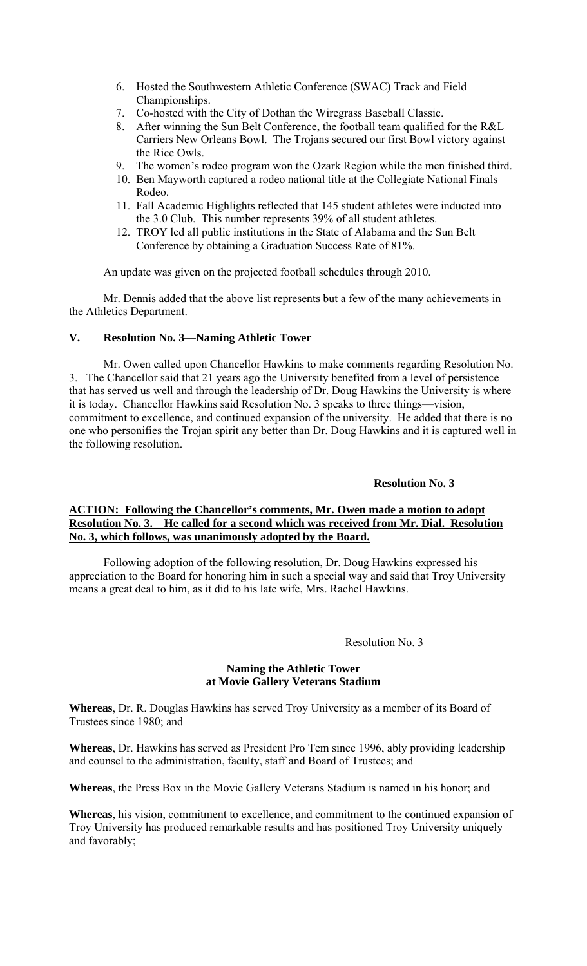- 6. Hosted the Southwestern Athletic Conference (SWAC) Track and Field Championships.
- 7. Co-hosted with the City of Dothan the Wiregrass Baseball Classic.
- 8. After winning the Sun Belt Conference, the football team qualified for the R&L Carriers New Orleans Bowl. The Trojans secured our first Bowl victory against the Rice Owls.
- 9. The women's rodeo program won the Ozark Region while the men finished third.
- 10. Ben Mayworth captured a rodeo national title at the Collegiate National Finals Rodeo.
- 11. Fall Academic Highlights reflected that 145 student athletes were inducted into the 3.0 Club. This number represents 39% of all student athletes.
- 12. TROY led all public institutions in the State of Alabama and the Sun Belt Conference by obtaining a Graduation Success Rate of 81%.

An update was given on the projected football schedules through 2010.

Mr. Dennis added that the above list represents but a few of the many achievements in the Athletics Department.

### **V. Resolution No. 3—Naming Athletic Tower**

Mr. Owen called upon Chancellor Hawkins to make comments regarding Resolution No. 3. The Chancellor said that 21 years ago the University benefited from a level of persistence that has served us well and through the leadership of Dr. Doug Hawkins the University is where it is today. Chancellor Hawkins said Resolution No. 3 speaks to three things—vision, commitment to excellence, and continued expansion of the university. He added that there is no one who personifies the Trojan spirit any better than Dr. Doug Hawkins and it is captured well in the following resolution.

### **Resolution No. 3**

### **ACTION: Following the Chancellor's comments, Mr. Owen made a motion to adopt Resolution No. 3. He called for a second which was received from Mr. Dial. Resolution No. 3, which follows, was unanimously adopted by the Board.**

 Following adoption of the following resolution, Dr. Doug Hawkins expressed his appreciation to the Board for honoring him in such a special way and said that Troy University means a great deal to him, as it did to his late wife, Mrs. Rachel Hawkins.

#### Resolution No. 3

#### **Naming the Athletic Tower at Movie Gallery Veterans Stadium**

**Whereas**, Dr. R. Douglas Hawkins has served Troy University as a member of its Board of Trustees since 1980; and

**Whereas**, Dr. Hawkins has served as President Pro Tem since 1996, ably providing leadership and counsel to the administration, faculty, staff and Board of Trustees; and

**Whereas**, the Press Box in the Movie Gallery Veterans Stadium is named in his honor; and

**Whereas**, his vision, commitment to excellence, and commitment to the continued expansion of Troy University has produced remarkable results and has positioned Troy University uniquely and favorably;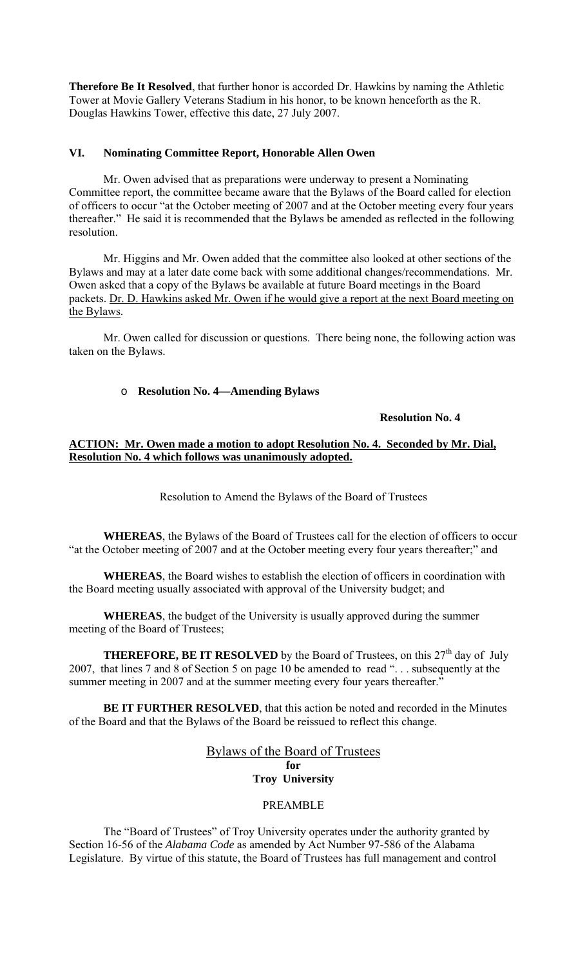**Therefore Be It Resolved**, that further honor is accorded Dr. Hawkins by naming the Athletic Tower at Movie Gallery Veterans Stadium in his honor, to be known henceforth as the R. Douglas Hawkins Tower, effective this date, 27 July 2007.

# **VI. Nominating Committee Report, Honorable Allen Owen**

Mr. Owen advised that as preparations were underway to present a Nominating Committee report, the committee became aware that the Bylaws of the Board called for election of officers to occur "at the October meeting of 2007 and at the October meeting every four years thereafter." He said it is recommended that the Bylaws be amended as reflected in the following resolution.

Mr. Higgins and Mr. Owen added that the committee also looked at other sections of the Bylaws and may at a later date come back with some additional changes/recommendations. Mr. Owen asked that a copy of the Bylaws be available at future Board meetings in the Board packets. Dr. D. Hawkins asked Mr. Owen if he would give a report at the next Board meeting on the Bylaws.

Mr. Owen called for discussion or questions. There being none, the following action was taken on the Bylaws.

### o **Resolution No. 4—Amending Bylaws**

#### **Resolution No. 4**

### **ACTION: Mr. Owen made a motion to adopt Resolution No. 4. Seconded by Mr. Dial, Resolution No. 4 which follows was unanimously adopted.**

Resolution to Amend the Bylaws of the Board of Trustees

**WHEREAS**, the Bylaws of the Board of Trustees call for the election of officers to occur "at the October meeting of 2007 and at the October meeting every four years thereafter;" and

**WHEREAS**, the Board wishes to establish the election of officers in coordination with the Board meeting usually associated with approval of the University budget; and

**WHEREAS**, the budget of the University is usually approved during the summer meeting of the Board of Trustees;

**THEREFORE, BE IT RESOLVED** by the Board of Trustees, on this  $27<sup>th</sup>$  day of July 2007, that lines 7 and 8 of Section 5 on page 10 be amended to read ". . . subsequently at the summer meeting in 2007 and at the summer meeting every four years thereafter.'

**BE IT FURTHER RESOLVED**, that this action be noted and recorded in the Minutes of the Board and that the Bylaws of the Board be reissued to reflect this change.

> Bylaws of the Board of Trustees **for Troy University**

#### PREAMBLE

 The "Board of Trustees" of Troy University operates under the authority granted by Section 16-56 of the *Alabama Code* as amended by Act Number 97-586 of the Alabama Legislature. By virtue of this statute, the Board of Trustees has full management and control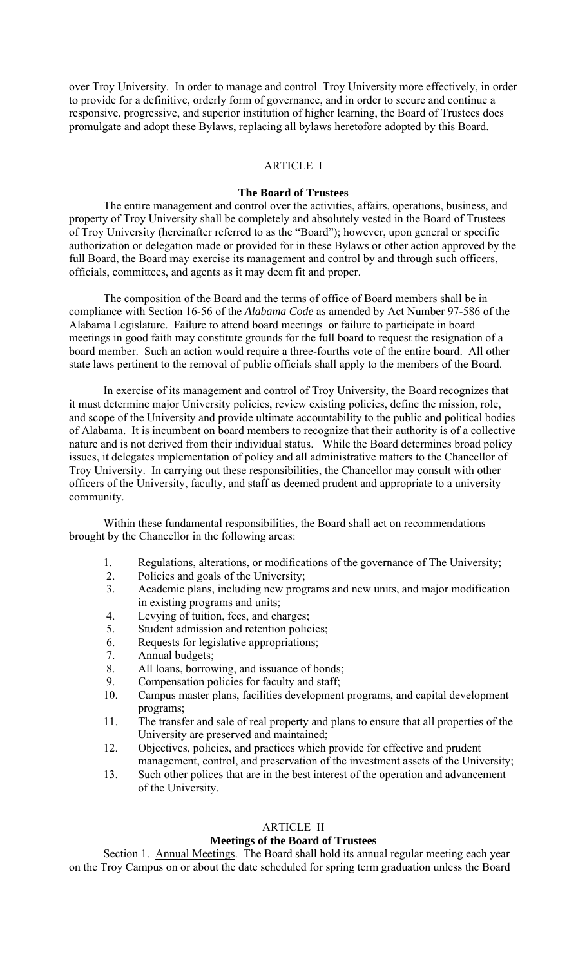over Troy University. In order to manage and control Troy University more effectively, in order to provide for a definitive, orderly form of governance, and in order to secure and continue a responsive, progressive, and superior institution of higher learning, the Board of Trustees does promulgate and adopt these Bylaws, replacing all bylaws heretofore adopted by this Board.

# ARTICLE I

### **The Board of Trustees**

The entire management and control over the activities, affairs, operations, business, and property of Troy University shall be completely and absolutely vested in the Board of Trustees of Troy University (hereinafter referred to as the "Board"); however, upon general or specific authorization or delegation made or provided for in these Bylaws or other action approved by the full Board, the Board may exercise its management and control by and through such officers, officials, committees, and agents as it may deem fit and proper.

 The composition of the Board and the terms of office of Board members shall be in compliance with Section 16-56 of the *Alabama Code* as amended by Act Number 97-586 of the Alabama Legislature. Failure to attend board meetings or failure to participate in board meetings in good faith may constitute grounds for the full board to request the resignation of a board member. Such an action would require a three-fourths vote of the entire board. All other state laws pertinent to the removal of public officials shall apply to the members of the Board.

 In exercise of its management and control of Troy University, the Board recognizes that it must determine major University policies, review existing policies, define the mission, role, and scope of the University and provide ultimate accountability to the public and political bodies of Alabama. It is incumbent on board members to recognize that their authority is of a collective nature and is not derived from their individual status. While the Board determines broad policy issues, it delegates implementation of policy and all administrative matters to the Chancellor of Troy University. In carrying out these responsibilities, the Chancellor may consult with other officers of the University, faculty, and staff as deemed prudent and appropriate to a university community.

 Within these fundamental responsibilities, the Board shall act on recommendations brought by the Chancellor in the following areas:

- 1. Regulations, alterations, or modifications of the governance of The University;
- 2. Policies and goals of the University;
- 3. Academic plans, including new programs and new units, and major modification in existing programs and units;
- 4. Levying of tuition, fees, and charges;
- 5. Student admission and retention policies;
- 6. Requests for legislative appropriations;
- 7. Annual budgets;
- 8. All loans, borrowing, and issuance of bonds;
- 9. Compensation policies for faculty and staff;<br>10. Campus master plans, facilities development
- 10. Campus master plans, facilities development programs, and capital development programs;
- 11. The transfer and sale of real property and plans to ensure that all properties of the University are preserved and maintained;
- 12. Objectives, policies, and practices which provide for effective and prudent management, control, and preservation of the investment assets of the University;
- 13. Such other polices that are in the best interest of the operation and advancement of the University.

### ARTICLE II

### **Meetings of the Board of Trustees**

Section 1. Annual Meetings. The Board shall hold its annual regular meeting each year on the Troy Campus on or about the date scheduled for spring term graduation unless the Board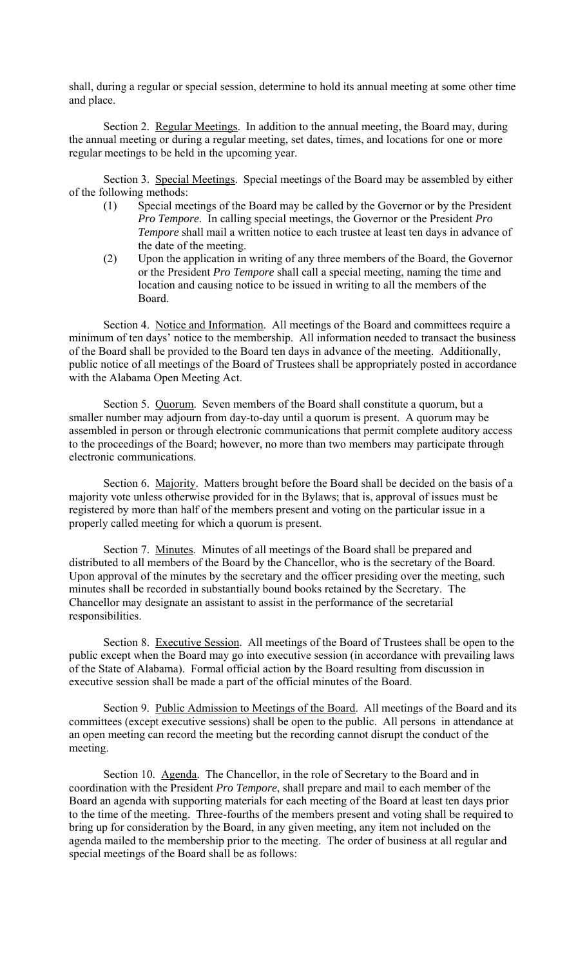shall, during a regular or special session, determine to hold its annual meeting at some other time and place.

Section 2. Regular Meetings. In addition to the annual meeting, the Board may, during the annual meeting or during a regular meeting, set dates, times, and locations for one or more regular meetings to be held in the upcoming year.

Section 3. Special Meetings. Special meetings of the Board may be assembled by either of the following methods:

- (1) Special meetings of the Board may be called by the Governor or by the President *Pro Tempore*. In calling special meetings, the Governor or the President *Pro Tempore* shall mail a written notice to each trustee at least ten days in advance of the date of the meeting.
- (2) Upon the application in writing of any three members of the Board, the Governor or the President *Pro Tempore* shall call a special meeting, naming the time and location and causing notice to be issued in writing to all the members of the Board.

Section 4. Notice and Information. All meetings of the Board and committees require a minimum of ten days' notice to the membership. All information needed to transact the business of the Board shall be provided to the Board ten days in advance of the meeting. Additionally, public notice of all meetings of the Board of Trustees shall be appropriately posted in accordance with the Alabama Open Meeting Act.

Section 5. Quorum. Seven members of the Board shall constitute a quorum, but a smaller number may adjourn from day-to-day until a quorum is present. A quorum may be assembled in person or through electronic communications that permit complete auditory access to the proceedings of the Board; however, no more than two members may participate through electronic communications.

Section 6. Majority. Matters brought before the Board shall be decided on the basis of a majority vote unless otherwise provided for in the Bylaws; that is, approval of issues must be registered by more than half of the members present and voting on the particular issue in a properly called meeting for which a quorum is present.

Section 7. Minutes. Minutes of all meetings of the Board shall be prepared and distributed to all members of the Board by the Chancellor, who is the secretary of the Board. Upon approval of the minutes by the secretary and the officer presiding over the meeting, such minutes shall be recorded in substantially bound books retained by the Secretary. The Chancellor may designate an assistant to assist in the performance of the secretarial responsibilities.

Section 8. Executive Session. All meetings of the Board of Trustees shall be open to the public except when the Board may go into executive session (in accordance with prevailing laws of the State of Alabama). Formal official action by the Board resulting from discussion in executive session shall be made a part of the official minutes of the Board.

Section 9. Public Admission to Meetings of the Board. All meetings of the Board and its committees (except executive sessions) shall be open to the public. All persons in attendance at an open meeting can record the meeting but the recording cannot disrupt the conduct of the meeting.

Section 10. Agenda. The Chancellor, in the role of Secretary to the Board and in coordination with the President *Pro Tempore*, shall prepare and mail to each member of the Board an agenda with supporting materials for each meeting of the Board at least ten days prior to the time of the meeting. Three-fourths of the members present and voting shall be required to bring up for consideration by the Board, in any given meeting, any item not included on the agenda mailed to the membership prior to the meeting. The order of business at all regular and special meetings of the Board shall be as follows: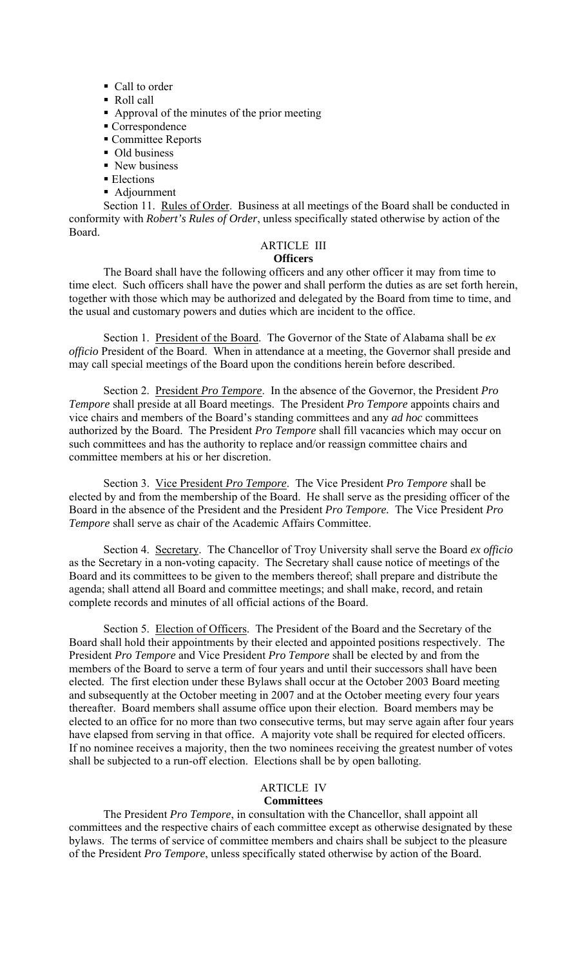- Call to order
- Roll call
- Approval of the minutes of the prior meeting
- Correspondence
- Committee Reports
- Old business
- New business
- Elections
- Adjournment

Section 11. Rules of Order. Business at all meetings of the Board shall be conducted in conformity with *Robert's Rules of Order*, unless specifically stated otherwise by action of the Board.

# ARTICLE III

# **Officers**

 The Board shall have the following officers and any other officer it may from time to time elect. Such officers shall have the power and shall perform the duties as are set forth herein, together with those which may be authorized and delegated by the Board from time to time, and the usual and customary powers and duties which are incident to the office.

Section 1. President of the Board. The Governor of the State of Alabama shall be *ex officio* President of the Board. When in attendance at a meeting, the Governor shall preside and may call special meetings of the Board upon the conditions herein before described.

Section 2. President *Pro Tempore*. In the absence of the Governor, the President *Pro Tempore* shall preside at all Board meetings. The President *Pro Tempore* appoints chairs and vice chairs and members of the Board's standing committees and any *ad hoc* committees authorized by the Board. The President *Pro Tempore* shall fill vacancies which may occur on such committees and has the authority to replace and/or reassign committee chairs and committee members at his or her discretion.

Section 3. Vice President *Pro Tempore*. The Vice President *Pro Tempore* shall be elected by and from the membership of the Board. He shall serve as the presiding officer of the Board in the absence of the President and the President *Pro Tempore.* The Vice President *Pro Tempore* shall serve as chair of the Academic Affairs Committee.

Section 4. Secretary. The Chancellor of Troy University shall serve the Board *ex officio* as the Secretary in a non-voting capacity. The Secretary shall cause notice of meetings of the Board and its committees to be given to the members thereof; shall prepare and distribute the agenda; shall attend all Board and committee meetings; and shall make, record, and retain complete records and minutes of all official actions of the Board.

Section 5. Election of Officers. The President of the Board and the Secretary of the Board shall hold their appointments by their elected and appointed positions respectively. The President *Pro Tempore* and Vice President *Pro Tempore* shall be elected by and from the members of the Board to serve a term of four years and until their successors shall have been elected. The first election under these Bylaws shall occur at the October 2003 Board meeting and subsequently at the October meeting in 2007 and at the October meeting every four years thereafter. Board members shall assume office upon their election. Board members may be elected to an office for no more than two consecutive terms, but may serve again after four years have elapsed from serving in that office. A majority vote shall be required for elected officers. If no nominee receives a majority, then the two nominees receiving the greatest number of votes shall be subjected to a run-off election. Elections shall be by open balloting.

# ARTICLE IV

# **Committees**

 The President *Pro Tempore*, in consultation with the Chancellor, shall appoint all committees and the respective chairs of each committee except as otherwise designated by these bylaws. The terms of service of committee members and chairs shall be subject to the pleasure of the President *Pro Tempore*, unless specifically stated otherwise by action of the Board.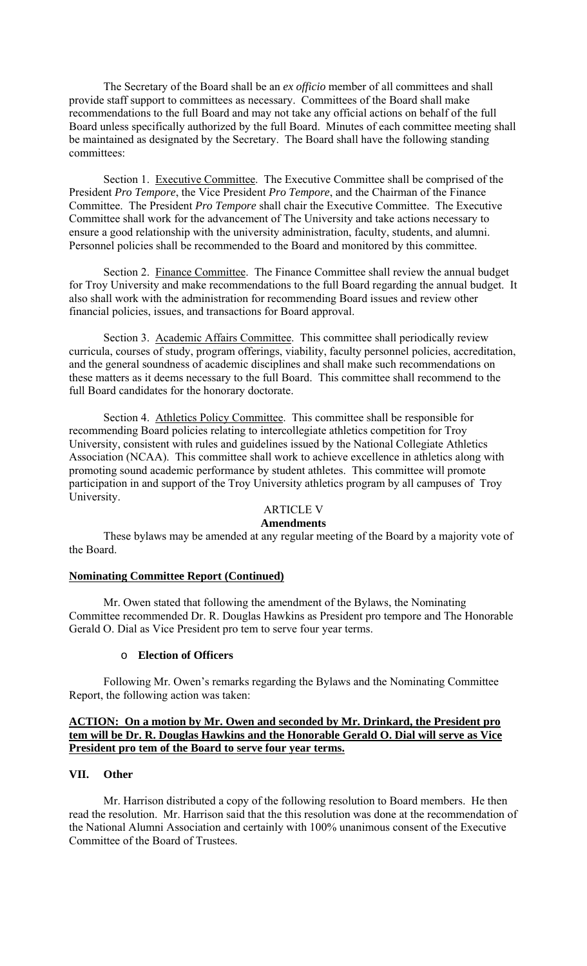The Secretary of the Board shall be an *ex officio* member of all committees and shall provide staff support to committees as necessary. Committees of the Board shall make recommendations to the full Board and may not take any official actions on behalf of the full Board unless specifically authorized by the full Board. Minutes of each committee meeting shall be maintained as designated by the Secretary. The Board shall have the following standing committees:

Section 1. Executive Committee. The Executive Committee shall be comprised of the President *Pro Tempore*, the Vice President *Pro Tempore*, and the Chairman of the Finance Committee. The President *Pro Tempore* shall chair the Executive Committee. The Executive Committee shall work for the advancement of The University and take actions necessary to ensure a good relationship with the university administration, faculty, students, and alumni. Personnel policies shall be recommended to the Board and monitored by this committee.

Section 2. Finance Committee. The Finance Committee shall review the annual budget for Troy University and make recommendations to the full Board regarding the annual budget. It also shall work with the administration for recommending Board issues and review other financial policies, issues, and transactions for Board approval.

 Section 3. Academic Affairs Committee. This committee shall periodically review curricula, courses of study, program offerings, viability, faculty personnel policies, accreditation, and the general soundness of academic disciplines and shall make such recommendations on these matters as it deems necessary to the full Board. This committee shall recommend to the full Board candidates for the honorary doctorate.

Section 4. Athletics Policy Committee. This committee shall be responsible for recommending Board policies relating to intercollegiate athletics competition for Troy University, consistent with rules and guidelines issued by the National Collegiate Athletics Association (NCAA). This committee shall work to achieve excellence in athletics along with promoting sound academic performance by student athletes. This committee will promote participation in and support of the Troy University athletics program by all campuses of Troy University.

# ARTICLE V

### **Amendments**

These bylaws may be amended at any regular meeting of the Board by a majority vote of the Board.

#### **Nominating Committee Report (Continued)**

Mr. Owen stated that following the amendment of the Bylaws, the Nominating Committee recommended Dr. R. Douglas Hawkins as President pro tempore and The Honorable Gerald O. Dial as Vice President pro tem to serve four year terms.

# o **Election of Officers**

Following Mr. Owen's remarks regarding the Bylaws and the Nominating Committee Report, the following action was taken:

### **ACTION: On a motion by Mr. Owen and seconded by Mr. Drinkard, the President pro tem will be Dr. R. Douglas Hawkins and the Honorable Gerald O. Dial will serve as Vice President pro tem of the Board to serve four year terms.**

### **VII. Other**

Mr. Harrison distributed a copy of the following resolution to Board members. He then read the resolution. Mr. Harrison said that the this resolution was done at the recommendation of the National Alumni Association and certainly with 100% unanimous consent of the Executive Committee of the Board of Trustees.